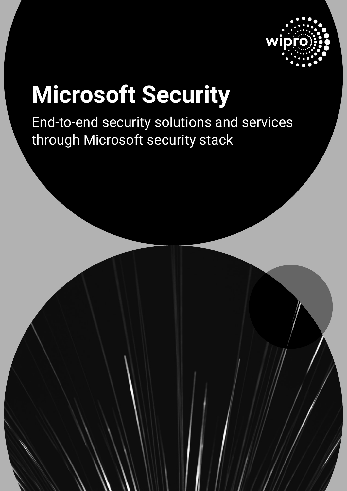

# **Microsoft Security**

End-to-end security solutions and services through Microsoft security stack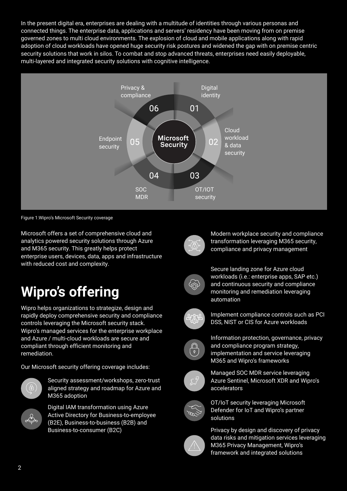In the present digital era, enterprises are dealing with a multitude of identities through various personas and connected things. The enterprise data, applications and servers' residency have been moving from on premise governed zones to multi cloud environments. The explosion of cloud and mobile applications along with rapid adoption of cloud workloads have opened huge security risk postures and widened the gap with on premise centric security solutions that work in silos. To combat and stop advanced threats, enterprises need easily deployable, multi-layered and integrated security solutions with cognitive intelligence.



Figure 1:Wipro's Microsoft Security coverage

Microsoft offers a set of comprehensive cloud and analytics powered security solutions through Azure and M365 security. This greatly helps protect enterprise users, devices, data, apps and infrastructure with reduced cost and complexity.

## **Wipro's offering**

Wipro helps organizations to strategize, design and rapidly deploy comprehensive security and compliance controls leveraging the Microsoft security stack. Wipro's managed services for the enterprise workplace and Azure / multi-cloud workloads are secure and compliant through efficient monitoring and remediation.

Our Microsoft security offering coverage includes:



Security assessment/workshops, zero-trust aligned strategy and roadmap for Azure and M365 adoption



Digital IAM transformation using Azure Active Directory for Business-to-employee (B2E), Business-to-business (B2B) and Business-to-consumer (B2C)



Modern workplace security and compliance transformation leveraging M365 security, compliance and privacy management



Secure landing zone for Azure cloud workloads (i.e.: enterprise apps, SAP etc.) and continuous security and compliance monitoring and remediation leveraging automation



Implement compliance controls such as PCI DSS, NIST or CIS for Azure workloads



Information protection, governance, privacy and compliance program strategy, implementation and service leveraging M365 and Wipro's frameworks



Managed SOC MDR service leveraging Azure Sentinel, Microsoft XDR and Wipro's accelerators



OT/IoT security leveraging Microsoft Defender for IoT and Wipro's partner solutions



Privacy by design and discovery of privacy data risks and mitigation services leveraging M365 Privacy Management, Wipro's framework and integrated solutions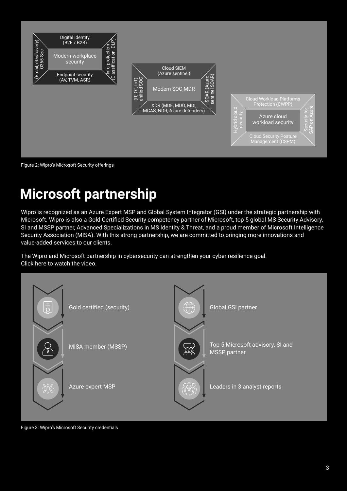

Figure 2: Wipro's Microsoft Security offerings

# **Microsoft partnership**

Wipro is recognized as an Azure Expert MSP and Global System Integrator (GSI) under the strategic partnership with Microsoft. Wipro is also a Gold Certified Security competency partner of Microsoft, top 5 global MS Security Advisory, SI and MSSP partner, Advanced Specializations in MS Identity & Threat, and a proud member of Microsoft Intelligence Security Association (MISA). With this strong partnership, we are committed to bringing more innovations and value-added services to our clients.

The Wipro and Microsoft partnership in cybersecurity can strengthen your cyber resilience goal. Click here to watch the video.



Figure 3: Wipro's Microsoft Security credentials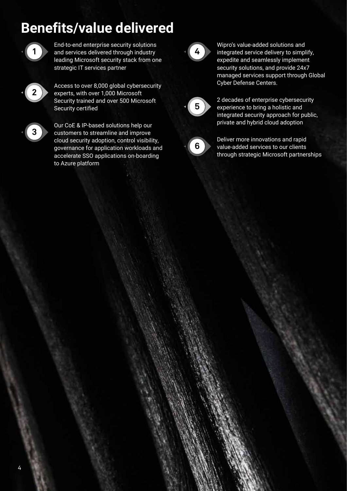## **Benefits/value delivered**



End-to-end enterprise security solutions and services delivered through industry leading Microsoft security stack from one strategic IT services partner



Access to over 8,000 global cybersecurity experts, with over 1,000 Microsoft Security trained and over 500 Microsoft Security certified



Our CoE & IP-based solutions help our customers to streamline and improve cloud security adoption, control visibility, governance for application workloads and accelerate SSO applications on-boarding to Azure platform



Wipro's value-added solutions and integrated service delivery to simplify, expedite and seamlessly implement security solutions, and provide 24x7 managed services support through Global Cyber Defense Centers.



2 decades of enterprise cybersecurity experience to bring a holistic and integrated security approach for public, private and hybrid cloud adoption



Deliver more innovations and rapid value-added services to our clients through strategic Microsoft partnerships